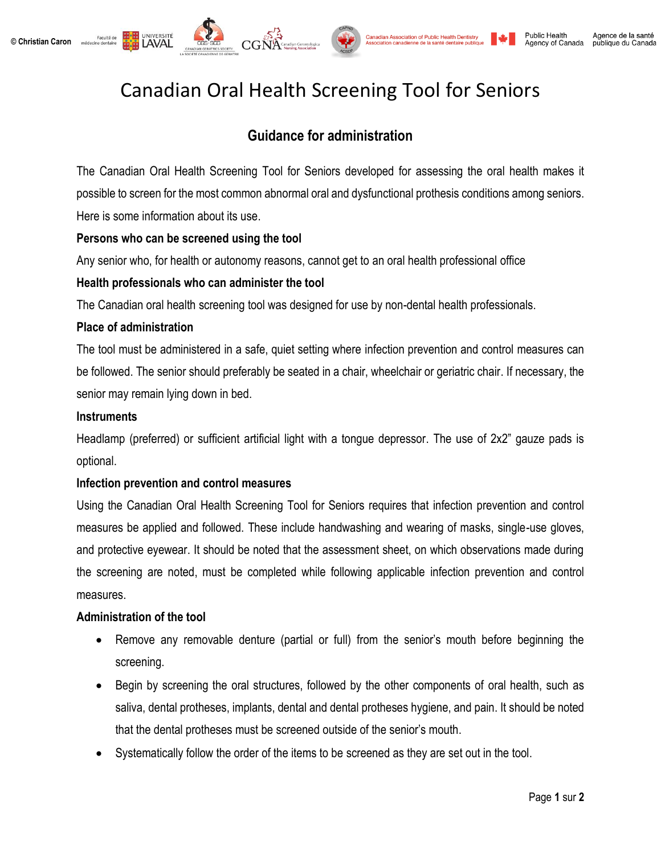



# Canadian Oral Health Screening Tool for Seniors

## **Guidance for administration**

The Canadian Oral Health Screening Tool for Seniors developed for assessing the oral health makes it possible to screen for the most common abnormal oral and dysfunctional prothesis conditions among seniors. Here is some information about its use.

#### **Persons who can be screened using the tool**

UNIVERSITÉ

Any senior who, for health or autonomy reasons, cannot get to an oral health professional office

### **Health professionals who can administer the tool**

The Canadian oral health screening tool was designed for use by non-dental health professionals.

#### **Place of administration**

The tool must be administered in a safe, quiet setting where infection prevention and control measures can be followed. The senior should preferably be seated in a chair, wheelchair or geriatric chair. If necessary, the senior may remain lying down in bed.

#### **Instruments**

Headlamp (preferred) or sufficient artificial light with a tongue depressor. The use of 2x2" gauze pads is optional.

#### **Infection prevention and control measures**

Using the Canadian Oral Health Screening Tool for Seniors requires that infection prevention and control measures be applied and followed. These include handwashing and wearing of masks, single-use gloves, and protective eyewear. It should be noted that the assessment sheet, on which observations made during the screening are noted, must be completed while following applicable infection prevention and control measures.

#### **Administration of the tool**

- Remove any removable denture (partial or full) from the senior's mouth before beginning the screening.
- Begin by screening the oral structures, followed by the other components of oral health, such as saliva, dental protheses, implants, dental and dental protheses hygiene, and pain. It should be noted that the dental protheses must be screened outside of the senior's mouth.
- Systematically follow the order of the items to be screened as they are set out in the tool.